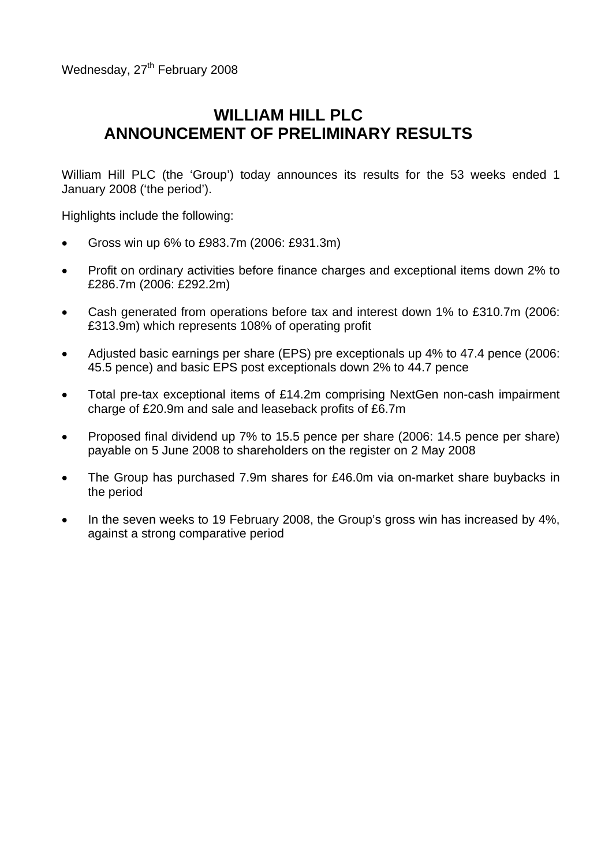Wednesday, 27<sup>th</sup> February 2008

# **WILLIAM HILL PLC ANNOUNCEMENT OF PRELIMINARY RESULTS**

William Hill PLC (the 'Group') today announces its results for the 53 weeks ended 1 January 2008 ('the period').

Highlights include the following:

- Gross win up 6% to £983.7m (2006: £931.3m)
- Profit on ordinary activities before finance charges and exceptional items down 2% to £286.7m (2006: £292.2m)
- Cash generated from operations before tax and interest down 1% to £310.7m (2006: £313.9m) which represents 108% of operating profit
- Adjusted basic earnings per share (EPS) pre exceptionals up 4% to 47.4 pence (2006: 45.5 pence) and basic EPS post exceptionals down 2% to 44.7 pence
- Total pre-tax exceptional items of £14.2m comprising NextGen non-cash impairment charge of £20.9m and sale and leaseback profits of £6.7m
- Proposed final dividend up 7% to 15.5 pence per share (2006: 14.5 pence per share) payable on 5 June 2008 to shareholders on the register on 2 May 2008
- The Group has purchased 7.9m shares for £46.0m via on-market share buybacks in the period
- In the seven weeks to 19 February 2008, the Group's gross win has increased by 4%, against a strong comparative period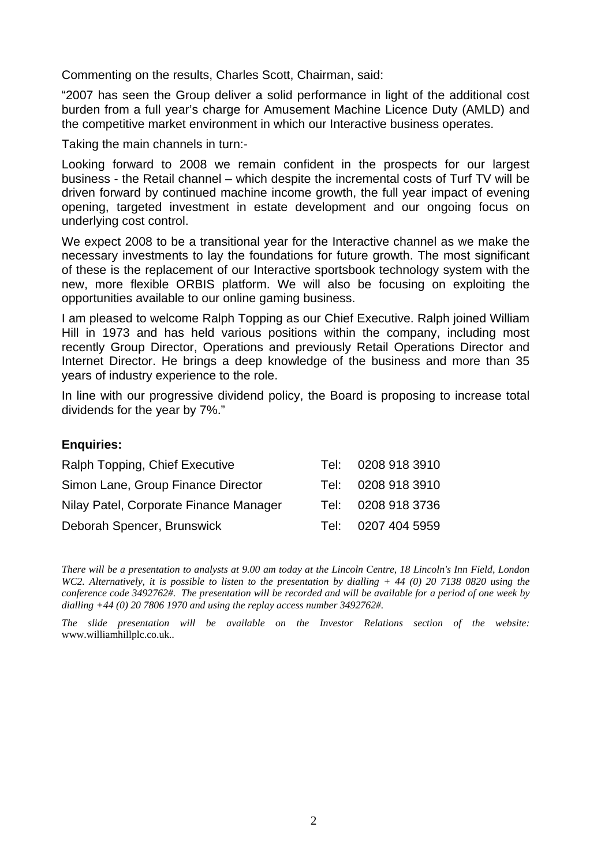Commenting on the results, Charles Scott, Chairman, said:

"2007 has seen the Group deliver a solid performance in light of the additional cost burden from a full year's charge for Amusement Machine Licence Duty (AMLD) and the competitive market environment in which our Interactive business operates.

Taking the main channels in turn:-

Looking forward to 2008 we remain confident in the prospects for our largest business - the Retail channel – which despite the incremental costs of Turf TV will be driven forward by continued machine income growth, the full year impact of evening opening, targeted investment in estate development and our ongoing focus on underlying cost control.

We expect 2008 to be a transitional year for the Interactive channel as we make the necessary investments to lay the foundations for future growth. The most significant of these is the replacement of our Interactive sportsbook technology system with the new, more flexible ORBIS platform. We will also be focusing on exploiting the opportunities available to our online gaming business.

I am pleased to welcome Ralph Topping as our Chief Executive. Ralph joined William Hill in 1973 and has held various positions within the company, including most recently Group Director, Operations and previously Retail Operations Director and Internet Director. He brings a deep knowledge of the business and more than 35 years of industry experience to the role.

In line with our progressive dividend policy, the Board is proposing to increase total dividends for the year by 7%."

### **Enquiries:**

| Ralph Topping, Chief Executive         | Tel: | 0208 918 3910      |
|----------------------------------------|------|--------------------|
| Simon Lane, Group Finance Director     | Tel: | 0208 918 3910      |
| Nilay Patel, Corporate Finance Manager |      | Tel: 0208 918 3736 |
| Deborah Spencer, Brunswick             |      | Tel: 0207 404 5959 |

*There will be a presentation to analysts at 9.00 am today at the Lincoln Centre, 18 Lincoln's Inn Field, London WC2. Alternatively, it is possible to listen to the presentation by dialling + 44 (0) 20 7138 0820 using the conference code 3492762#. The presentation will be recorded and will be available for a period of one week by dialling +44 (0) 20 7806 1970 and using the replay access number 3492762#.* 

*The slide presentation will be available on the Investor Relations section of the website:*  [www.williamhillplc.co.uk](http://www.williamhillplc.co.uk/)*..*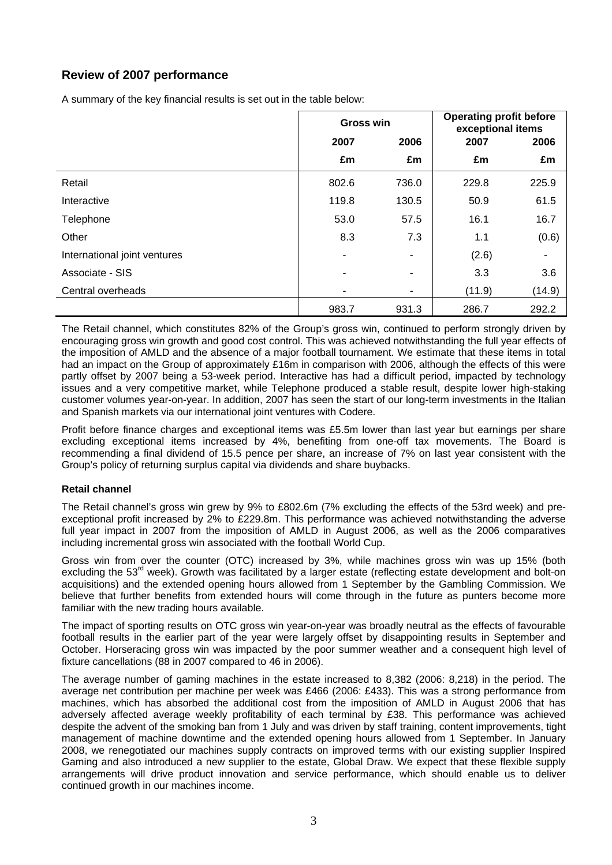# **Review of 2007 performance**

A summary of the key financial results is set out in the table below:

|                              | <b>Gross win</b> |       | <b>Operating profit before</b><br>exceptional items |        |  |
|------------------------------|------------------|-------|-----------------------------------------------------|--------|--|
|                              | 2007<br>2006     |       | 2007                                                | 2006   |  |
|                              | £m               | £m    | £m                                                  | £m     |  |
| Retail                       | 802.6            | 736.0 | 229.8                                               | 225.9  |  |
| Interactive                  | 119.8            | 130.5 | 50.9                                                | 61.5   |  |
| Telephone                    | 53.0             | 57.5  | 16.1                                                | 16.7   |  |
| Other                        | 8.3              | 7.3   | 1.1                                                 | (0.6)  |  |
| International joint ventures |                  | ۰     | (2.6)                                               |        |  |
| Associate - SIS              | ۰                | ٠     | 3.3                                                 | 3.6    |  |
| Central overheads            |                  |       | (11.9)                                              | (14.9) |  |
|                              | 983.7            | 931.3 | 286.7                                               | 292.2  |  |

The Retail channel, which constitutes 82% of the Group's gross win, continued to perform strongly driven by encouraging gross win growth and good cost control. This was achieved notwithstanding the full year effects of the imposition of AMLD and the absence of a major football tournament. We estimate that these items in total had an impact on the Group of approximately £16m in comparison with 2006, although the effects of this were partly offset by 2007 being a 53-week period. Interactive has had a difficult period, impacted by technology issues and a very competitive market, while Telephone produced a stable result, despite lower high-staking customer volumes year-on-year. In addition, 2007 has seen the start of our long-term investments in the Italian and Spanish markets via our international joint ventures with Codere.

Profit before finance charges and exceptional items was £5.5m lower than last year but earnings per share excluding exceptional items increased by 4%, benefiting from one-off tax movements. The Board is recommending a final dividend of 15.5 pence per share, an increase of 7% on last year consistent with the Group's policy of returning surplus capital via dividends and share buybacks.

### **Retail channel**

The Retail channel's gross win grew by 9% to £802.6m (7% excluding the effects of the 53rd week) and preexceptional profit increased by 2% to £229.8m. This performance was achieved notwithstanding the adverse full year impact in 2007 from the imposition of AMLD in August 2006, as well as the 2006 comparatives including incremental gross win associated with the football World Cup.

Gross win from over the counter (OTC) increased by 3%, while machines gross win was up 15% (both excluding the 53<sup>rd</sup> week). Growth was facilitated by a larger estate (reflecting estate development and bolt-on acquisitions) and the extended opening hours allowed from 1 September by the Gambling Commission. We believe that further benefits from extended hours will come through in the future as punters become more familiar with the new trading hours available.

The impact of sporting results on OTC gross win year-on-year was broadly neutral as the effects of favourable football results in the earlier part of the year were largely offset by disappointing results in September and October. Horseracing gross win was impacted by the poor summer weather and a consequent high level of fixture cancellations (88 in 2007 compared to 46 in 2006).

The average number of gaming machines in the estate increased to 8,382 (2006: 8,218) in the period. The average net contribution per machine per week was £466 (2006: £433). This was a strong performance from machines, which has absorbed the additional cost from the imposition of AMLD in August 2006 that has adversely affected average weekly profitability of each terminal by £38. This performance was achieved despite the advent of the smoking ban from 1 July and was driven by staff training, content improvements, tight management of machine downtime and the extended opening hours allowed from 1 September. In January 2008, we renegotiated our machines supply contracts on improved terms with our existing supplier Inspired Gaming and also introduced a new supplier to the estate, Global Draw. We expect that these flexible supply arrangements will drive product innovation and service performance, which should enable us to deliver continued growth in our machines income.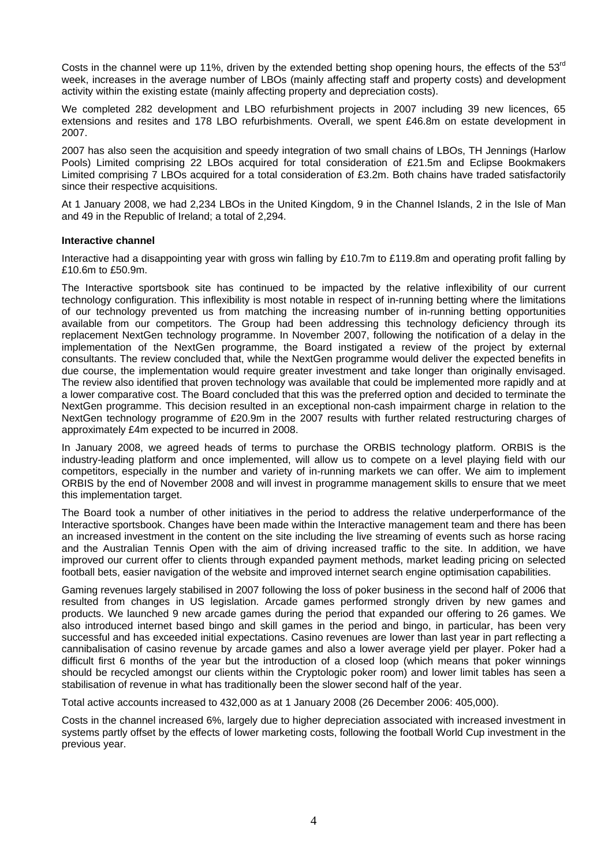Costs in the channel were up 11%, driven by the extended betting shop opening hours, the effects of the 53<sup>rd</sup> week, increases in the average number of LBOs (mainly affecting staff and property costs) and development activity within the existing estate (mainly affecting property and depreciation costs).

We completed 282 development and LBO refurbishment projects in 2007 including 39 new licences, 65 extensions and resites and 178 LBO refurbishments. Overall, we spent £46.8m on estate development in 2007.

2007 has also seen the acquisition and speedy integration of two small chains of LBOs, TH Jennings (Harlow Pools) Limited comprising 22 LBOs acquired for total consideration of £21.5m and Eclipse Bookmakers Limited comprising 7 LBOs acquired for a total consideration of £3.2m. Both chains have traded satisfactorily since their respective acquisitions.

At 1 January 2008, we had 2,234 LBOs in the United Kingdom, 9 in the Channel Islands, 2 in the Isle of Man and 49 in the Republic of Ireland; a total of 2,294.

#### **Interactive channel**

Interactive had a disappointing year with gross win falling by £10.7m to £119.8m and operating profit falling by £10.6m to £50.9m.

The Interactive sportsbook site has continued to be impacted by the relative inflexibility of our current technology configuration. This inflexibility is most notable in respect of in-running betting where the limitations of our technology prevented us from matching the increasing number of in-running betting opportunities available from our competitors. The Group had been addressing this technology deficiency through its replacement NextGen technology programme. In November 2007, following the notification of a delay in the implementation of the NextGen programme, the Board instigated a review of the project by external consultants. The review concluded that, while the NextGen programme would deliver the expected benefits in due course, the implementation would require greater investment and take longer than originally envisaged. The review also identified that proven technology was available that could be implemented more rapidly and at a lower comparative cost. The Board concluded that this was the preferred option and decided to terminate the NextGen programme. This decision resulted in an exceptional non-cash impairment charge in relation to the NextGen technology programme of £20.9m in the 2007 results with further related restructuring charges of approximately £4m expected to be incurred in 2008.

In January 2008, we agreed heads of terms to purchase the ORBIS technology platform. ORBIS is the industry-leading platform and once implemented, will allow us to compete on a level playing field with our competitors, especially in the number and variety of in-running markets we can offer. We aim to implement ORBIS by the end of November 2008 and will invest in programme management skills to ensure that we meet this implementation target.

The Board took a number of other initiatives in the period to address the relative underperformance of the Interactive sportsbook. Changes have been made within the Interactive management team and there has been an increased investment in the content on the site including the live streaming of events such as horse racing and the Australian Tennis Open with the aim of driving increased traffic to the site. In addition, we have improved our current offer to clients through expanded payment methods, market leading pricing on selected football bets, easier navigation of the website and improved internet search engine optimisation capabilities.

Gaming revenues largely stabilised in 2007 following the loss of poker business in the second half of 2006 that resulted from changes in US legislation. Arcade games performed strongly driven by new games and products. We launched 9 new arcade games during the period that expanded our offering to 26 games. We also introduced internet based bingo and skill games in the period and bingo, in particular, has been very successful and has exceeded initial expectations. Casino revenues are lower than last year in part reflecting a cannibalisation of casino revenue by arcade games and also a lower average yield per player. Poker had a difficult first 6 months of the year but the introduction of a closed loop (which means that poker winnings should be recycled amongst our clients within the Cryptologic poker room) and lower limit tables has seen a stabilisation of revenue in what has traditionally been the slower second half of the year.

Total active accounts increased to 432,000 as at 1 January 2008 (26 December 2006: 405,000).

Costs in the channel increased 6%, largely due to higher depreciation associated with increased investment in systems partly offset by the effects of lower marketing costs, following the football World Cup investment in the previous year.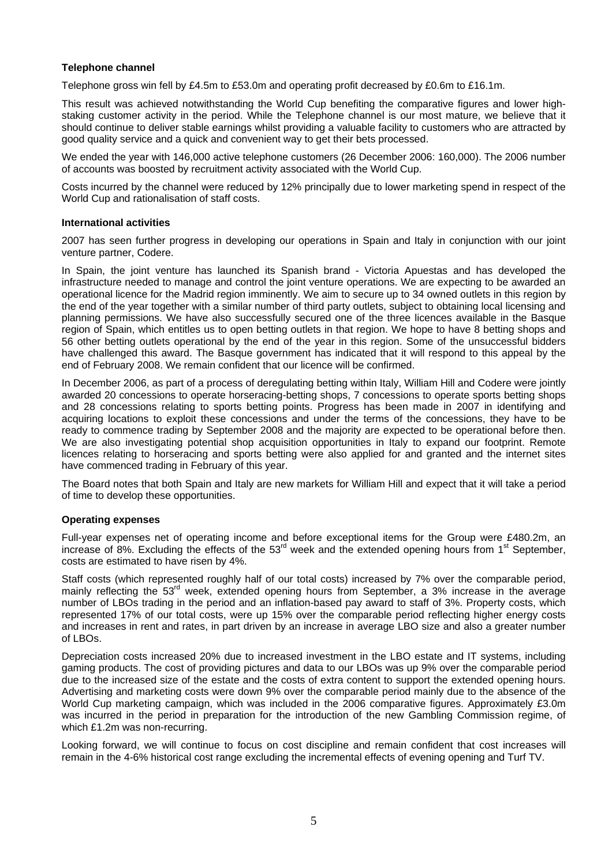### **Telephone channel**

Telephone gross win fell by £4.5m to £53.0m and operating profit decreased by £0.6m to £16.1m.

This result was achieved notwithstanding the World Cup benefiting the comparative figures and lower highstaking customer activity in the period. While the Telephone channel is our most mature, we believe that it should continue to deliver stable earnings whilst providing a valuable facility to customers who are attracted by good quality service and a quick and convenient way to get their bets processed.

We ended the year with 146,000 active telephone customers (26 December 2006: 160,000). The 2006 number of accounts was boosted by recruitment activity associated with the World Cup.

Costs incurred by the channel were reduced by 12% principally due to lower marketing spend in respect of the World Cup and rationalisation of staff costs.

#### **International activities**

2007 has seen further progress in developing our operations in Spain and Italy in conjunction with our joint venture partner, Codere.

In Spain, the joint venture has launched its Spanish brand - Victoria Apuestas and has developed the infrastructure needed to manage and control the joint venture operations. We are expecting to be awarded an operational licence for the Madrid region imminently. We aim to secure up to 34 owned outlets in this region by the end of the year together with a similar number of third party outlets, subject to obtaining local licensing and planning permissions. We have also successfully secured one of the three licences available in the Basque region of Spain, which entitles us to open betting outlets in that region. We hope to have 8 betting shops and 56 other betting outlets operational by the end of the year in this region. Some of the unsuccessful bidders have challenged this award. The Basque government has indicated that it will respond to this appeal by the end of February 2008. We remain confident that our licence will be confirmed.

In December 2006, as part of a process of deregulating betting within Italy, William Hill and Codere were jointly awarded 20 concessions to operate horseracing-betting shops, 7 concessions to operate sports betting shops and 28 concessions relating to sports betting points. Progress has been made in 2007 in identifying and acquiring locations to exploit these concessions and under the terms of the concessions, they have to be ready to commence trading by September 2008 and the majority are expected to be operational before then. We are also investigating potential shop acquisition opportunities in Italy to expand our footprint. Remote licences relating to horseracing and sports betting were also applied for and granted and the internet sites have commenced trading in February of this year.

The Board notes that both Spain and Italy are new markets for William Hill and expect that it will take a period of time to develop these opportunities.

#### **Operating expenses**

Full-year expenses net of operating income and before exceptional items for the Group were £480.2m, an increase of 8%. Excluding the effects of the  $53<sup>rd</sup>$  week and the extended opening hours from 1<sup>st</sup> September, costs are estimated to have risen by 4%.

Staff costs (which represented roughly half of our total costs) increased by 7% over the comparable period, mainly reflecting the  $53<sup>rd</sup>$  week, extended opening hours from September, a 3% increase in the average number of LBOs trading in the period and an inflation-based pay award to staff of 3%. Property costs, which represented 17% of our total costs, were up 15% over the comparable period reflecting higher energy costs and increases in rent and rates, in part driven by an increase in average LBO size and also a greater number of LBOs.

Depreciation costs increased 20% due to increased investment in the LBO estate and IT systems, including gaming products. The cost of providing pictures and data to our LBOs was up 9% over the comparable period due to the increased size of the estate and the costs of extra content to support the extended opening hours. Advertising and marketing costs were down 9% over the comparable period mainly due to the absence of the World Cup marketing campaign, which was included in the 2006 comparative figures. Approximately £3.0m was incurred in the period in preparation for the introduction of the new Gambling Commission regime, of which £1.2m was non-recurring.

Looking forward, we will continue to focus on cost discipline and remain confident that cost increases will remain in the 4-6% historical cost range excluding the incremental effects of evening opening and Turf TV.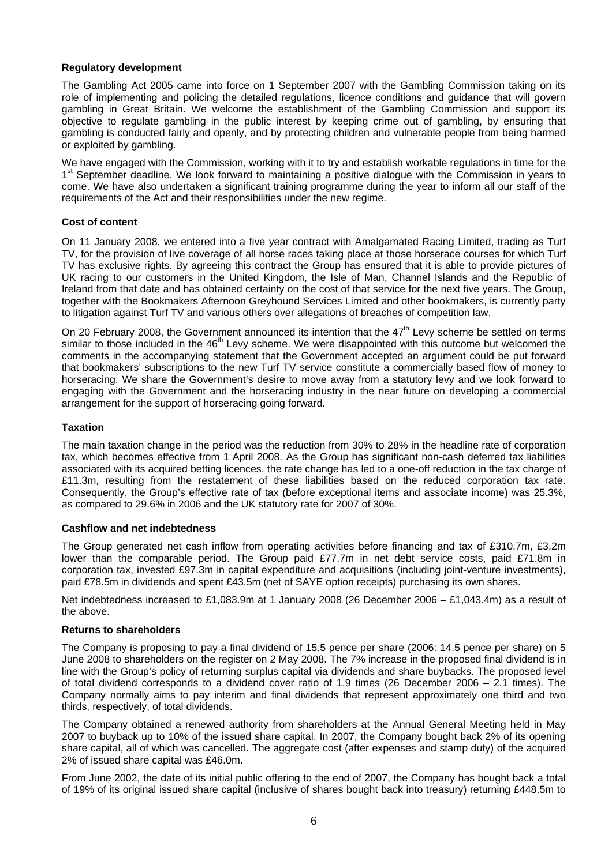### **Regulatory development**

The Gambling Act 2005 came into force on 1 September 2007 with the Gambling Commission taking on its role of implementing and policing the detailed regulations, licence conditions and guidance that will govern gambling in Great Britain. We welcome the establishment of the Gambling Commission and support its objective to regulate gambling in the public interest by keeping crime out of gambling, by ensuring that gambling is conducted fairly and openly, and by protecting children and vulnerable people from being harmed or exploited by gambling.

We have engaged with the Commission, working with it to try and establish workable regulations in time for the 1<sup>st</sup> September deadline. We look forward to maintaining a positive dialogue with the Commission in years to come. We have also undertaken a significant training programme during the year to inform all our staff of the requirements of the Act and their responsibilities under the new regime.

#### **Cost of content**

On 11 January 2008, we entered into a five year contract with Amalgamated Racing Limited, trading as Turf TV, for the provision of live coverage of all horse races taking place at those horserace courses for which Turf TV has exclusive rights. By agreeing this contract the Group has ensured that it is able to provide pictures of UK racing to our customers in the United Kingdom, the Isle of Man, Channel Islands and the Republic of Ireland from that date and has obtained certainty on the cost of that service for the next five years. The Group, together with the Bookmakers Afternoon Greyhound Services Limited and other bookmakers, is currently party to litigation against Turf TV and various others over allegations of breaches of competition law.

On 20 February 2008, the Government announced its intention that the 47<sup>th</sup> Levy scheme be settled on terms similar to those included in the  $46<sup>th</sup>$  Levy scheme. We were disappointed with this outcome but welcomed the comments in the accompanying statement that the Government accepted an argument could be put forward that bookmakers' subscriptions to the new Turf TV service constitute a commercially based flow of money to horseracing. We share the Government's desire to move away from a statutory levy and we look forward to engaging with the Government and the horseracing industry in the near future on developing a commercial arrangement for the support of horseracing going forward.

#### **Taxation**

The main taxation change in the period was the reduction from 30% to 28% in the headline rate of corporation tax, which becomes effective from 1 April 2008. As the Group has significant non-cash deferred tax liabilities associated with its acquired betting licences, the rate change has led to a one-off reduction in the tax charge of £11.3m, resulting from the restatement of these liabilities based on the reduced corporation tax rate. Consequently, the Group's effective rate of tax (before exceptional items and associate income) was 25.3%, as compared to 29.6% in 2006 and the UK statutory rate for 2007 of 30%.

#### **Cashflow and net indebtedness**

The Group generated net cash inflow from operating activities before financing and tax of £310.7m, £3.2m lower than the comparable period. The Group paid £77.7m in net debt service costs, paid £71.8m in corporation tax, invested £97.3m in capital expenditure and acquisitions (including joint-venture investments), paid £78.5m in dividends and spent £43.5m (net of SAYE option receipts) purchasing its own shares.

Net indebtedness increased to £1,083.9m at 1 January 2008 (26 December 2006 – £1,043.4m) as a result of the above.

#### **Returns to shareholders**

The Company is proposing to pay a final dividend of 15.5 pence per share (2006: 14.5 pence per share) on 5 June 2008 to shareholders on the register on 2 May 2008. The 7% increase in the proposed final dividend is in line with the Group's policy of returning surplus capital via dividends and share buybacks. The proposed level of total dividend corresponds to a dividend cover ratio of 1.9 times (26 December 2006 – 2.1 times). The Company normally aims to pay interim and final dividends that represent approximately one third and two thirds, respectively, of total dividends.

The Company obtained a renewed authority from shareholders at the Annual General Meeting held in May 2007 to buyback up to 10% of the issued share capital. In 2007, the Company bought back 2% of its opening share capital, all of which was cancelled. The aggregate cost (after expenses and stamp duty) of the acquired 2% of issued share capital was £46.0m.

From June 2002, the date of its initial public offering to the end of 2007, the Company has bought back a total of 19% of its original issued share capital (inclusive of shares bought back into treasury) returning £448.5m to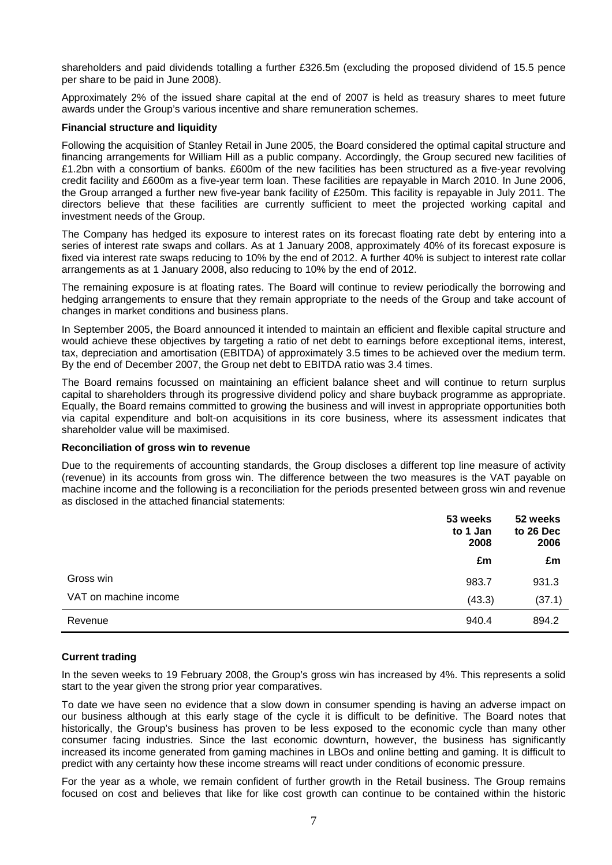shareholders and paid dividends totalling a further £326.5m (excluding the proposed dividend of 15.5 pence per share to be paid in June 2008).

Approximately 2% of the issued share capital at the end of 2007 is held as treasury shares to meet future awards under the Group's various incentive and share remuneration schemes.

#### **Financial structure and liquidity**

Following the acquisition of Stanley Retail in June 2005, the Board considered the optimal capital structure and financing arrangements for William Hill as a public company. Accordingly, the Group secured new facilities of £1.2bn with a consortium of banks. £600m of the new facilities has been structured as a five-year revolving credit facility and £600m as a five-year term loan. These facilities are repayable in March 2010. In June 2006, the Group arranged a further new five-year bank facility of £250m. This facility is repayable in July 2011. The directors believe that these facilities are currently sufficient to meet the projected working capital and investment needs of the Group.

The Company has hedged its exposure to interest rates on its forecast floating rate debt by entering into a series of interest rate swaps and collars. As at 1 January 2008, approximately 40% of its forecast exposure is fixed via interest rate swaps reducing to 10% by the end of 2012. A further 40% is subject to interest rate collar arrangements as at 1 January 2008, also reducing to 10% by the end of 2012.

The remaining exposure is at floating rates. The Board will continue to review periodically the borrowing and hedging arrangements to ensure that they remain appropriate to the needs of the Group and take account of changes in market conditions and business plans.

In September 2005, the Board announced it intended to maintain an efficient and flexible capital structure and would achieve these objectives by targeting a ratio of net debt to earnings before exceptional items, interest, tax, depreciation and amortisation (EBITDA) of approximately 3.5 times to be achieved over the medium term. By the end of December 2007, the Group net debt to EBITDA ratio was 3.4 times.

The Board remains focussed on maintaining an efficient balance sheet and will continue to return surplus capital to shareholders through its progressive dividend policy and share buyback programme as appropriate. Equally, the Board remains committed to growing the business and will invest in appropriate opportunities both via capital expenditure and bolt-on acquisitions in its core business, where its assessment indicates that shareholder value will be maximised.

#### **Reconciliation of gross win to revenue**

Due to the requirements of accounting standards, the Group discloses a different top line measure of activity (revenue) in its accounts from gross win. The difference between the two measures is the VAT payable on machine income and the following is a reconciliation for the periods presented between gross win and revenue as disclosed in the attached financial statements:

|                       | 53 weeks<br>to 1 Jan<br>2008 | 52 weeks<br>to 26 Dec<br>2006 |
|-----------------------|------------------------------|-------------------------------|
|                       | £m                           | £m                            |
| Gross win             | 983.7                        | 931.3                         |
| VAT on machine income | (43.3)                       | (37.1)                        |
| Revenue               | 940.4                        | 894.2                         |

#### **Current trading**

In the seven weeks to 19 February 2008, the Group's gross win has increased by 4%. This represents a solid start to the year given the strong prior year comparatives.

To date we have seen no evidence that a slow down in consumer spending is having an adverse impact on our business although at this early stage of the cycle it is difficult to be definitive. The Board notes that historically, the Group's business has proven to be less exposed to the economic cycle than many other consumer facing industries. Since the last economic downturn, however, the business has significantly increased its income generated from gaming machines in LBOs and online betting and gaming. It is difficult to predict with any certainty how these income streams will react under conditions of economic pressure.

For the year as a whole, we remain confident of further growth in the Retail business. The Group remains focused on cost and believes that like for like cost growth can continue to be contained within the historic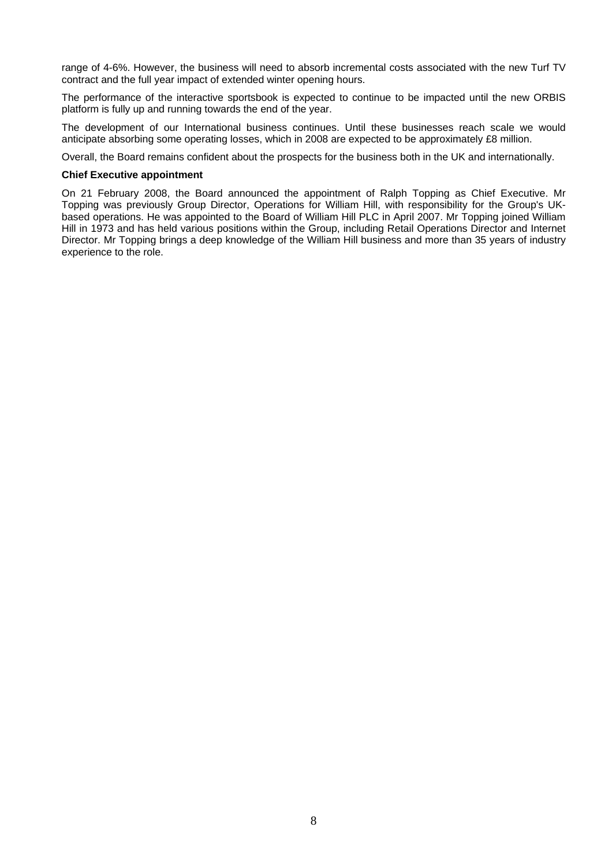range of 4-6%. However, the business will need to absorb incremental costs associated with the new Turf TV contract and the full year impact of extended winter opening hours.

The performance of the interactive sportsbook is expected to continue to be impacted until the new ORBIS platform is fully up and running towards the end of the year.

The development of our International business continues. Until these businesses reach scale we would anticipate absorbing some operating losses, which in 2008 are expected to be approximately £8 million.

Overall, the Board remains confident about the prospects for the business both in the UK and internationally.

#### **Chief Executive appointment**

On 21 February 2008, the Board announced the appointment of Ralph Topping as Chief Executive. Mr Topping was previously Group Director, Operations for William Hill, with responsibility for the Group's UKbased operations. He was appointed to the Board of William Hill PLC in April 2007. Mr Topping joined William Hill in 1973 and has held various positions within the Group, including Retail Operations Director and Internet Director. Mr Topping brings a deep knowledge of the William Hill business and more than 35 years of industry experience to the role.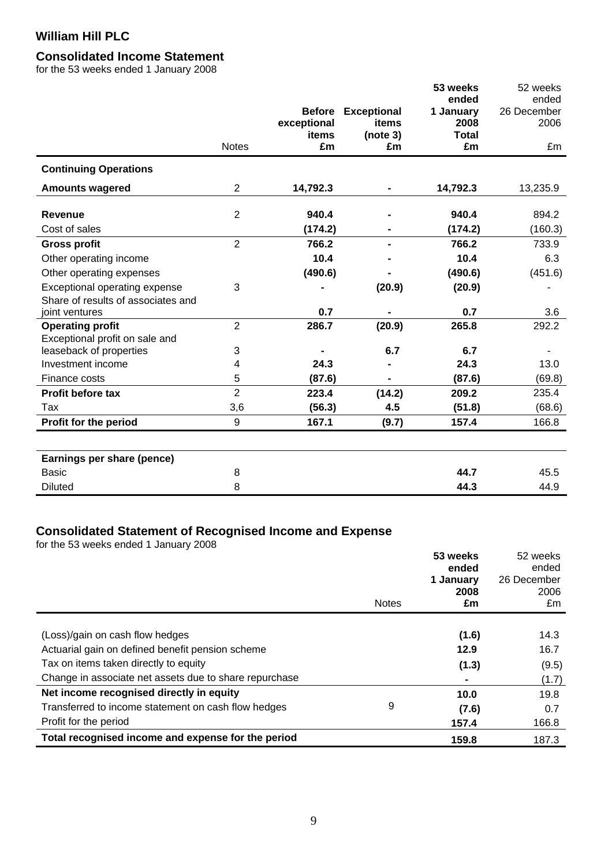# **Consolidated Income Statement**

for the 53 weeks ended 1 January 2008

|                                    |                |                      |                    | 53 weeks             | 52 weeks    |
|------------------------------------|----------------|----------------------|--------------------|----------------------|-------------|
|                                    |                |                      |                    | ended                | ended       |
|                                    |                | <b>Before</b>        | <b>Exceptional</b> | 1 January            | 26 December |
|                                    |                | exceptional<br>items | items<br>(note 3)  | 2008<br><b>Total</b> | 2006        |
|                                    | <b>Notes</b>   | £m                   | £m                 | £m                   | £m          |
| <b>Continuing Operations</b>       |                |                      |                    |                      |             |
| <b>Amounts wagered</b>             | 2              | 14,792.3             |                    | 14,792.3             | 13,235.9    |
| <b>Revenue</b>                     | $\overline{2}$ | 940.4                |                    | 940.4                | 894.2       |
|                                    |                |                      |                    |                      |             |
| Cost of sales                      |                | (174.2)              |                    | (174.2)              | (160.3)     |
| <b>Gross profit</b>                | $\overline{2}$ | 766.2                |                    | 766.2                | 733.9       |
| Other operating income             |                | 10.4                 |                    | 10.4                 | 6.3         |
| Other operating expenses           |                | (490.6)              |                    | (490.6)              | (451.6)     |
| Exceptional operating expense      | 3              |                      | (20.9)             | (20.9)               |             |
| Share of results of associates and |                |                      |                    |                      |             |
| joint ventures                     |                | 0.7                  |                    | 0.7                  | 3.6         |
| <b>Operating profit</b>            | $\overline{2}$ | 286.7                | (20.9)             | 265.8                | 292.2       |
| Exceptional profit on sale and     |                |                      |                    |                      |             |
| leaseback of properties            | 3              |                      | 6.7                | 6.7                  |             |
| Investment income                  | 4              | 24.3                 |                    | 24.3                 | 13.0        |
| Finance costs                      | 5              | (87.6)               |                    | (87.6)               | (69.8)      |
| Profit before tax                  | $\overline{2}$ | 223.4                | (14.2)             | 209.2                | 235.4       |
| Tax                                | 3,6            | (56.3)               | 4.5                | (51.8)               | (68.6)      |
| Profit for the period              | 9              | 167.1                | (9.7)              | 157.4                | 166.8       |
|                                    |                |                      |                    |                      |             |
| Earnings per share (pence)         |                |                      |                    |                      |             |
| <b>Basic</b>                       | 8              |                      |                    | 44.7                 | 45.5        |
| <b>Diluted</b>                     | 8              |                      |                    | 44.3                 | 44.9        |

### **Consolidated Statement of Recognised Income and Expense**

for the 53 weeks ended 1 January 2008

|                                                                                     |              | 53 weeks<br>ended<br>1 January<br>2008 | 52 weeks<br>ended<br>26 December<br>2006 |
|-------------------------------------------------------------------------------------|--------------|----------------------------------------|------------------------------------------|
|                                                                                     | <b>Notes</b> | £m                                     | £m                                       |
| (Loss)/gain on cash flow hedges<br>Actuarial gain on defined benefit pension scheme |              | (1.6)<br>12.9                          | 14.3<br>16.7                             |
| Tax on items taken directly to equity                                               |              | (1.3)                                  | (9.5)                                    |
| Change in associate net assets due to share repurchase                              |              |                                        | (1.7)                                    |
| Net income recognised directly in equity                                            |              | 10.0                                   | 19.8                                     |
| Transferred to income statement on cash flow hedges                                 | 9            | (7.6)                                  | 0.7                                      |
| Profit for the period                                                               |              | 157.4                                  | 166.8                                    |
| Total recognised income and expense for the period                                  |              | 159.8                                  | 187.3                                    |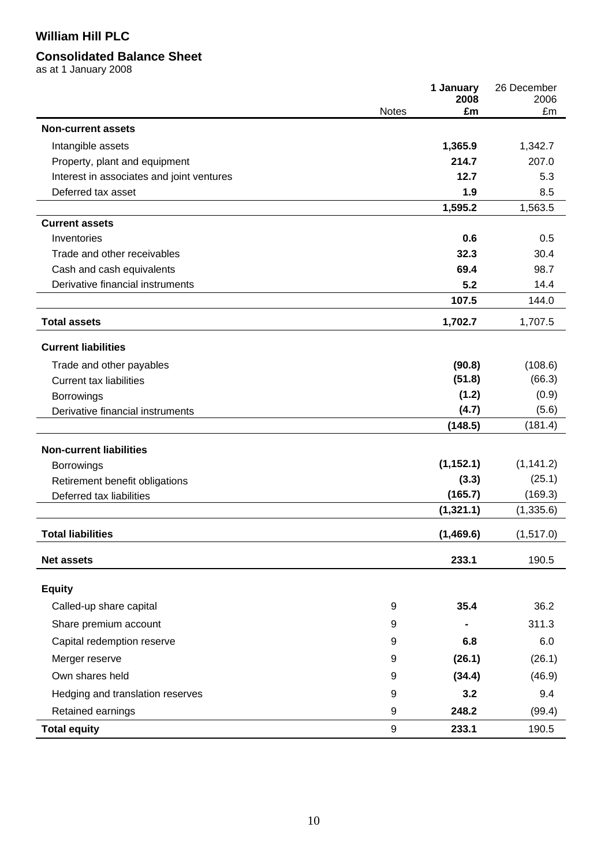# **Consolidated Balance Sheet**

as at 1 January 2008

|                                           |              | 1 January<br>2008 | 26 December<br>2006 |
|-------------------------------------------|--------------|-------------------|---------------------|
|                                           | <b>Notes</b> | £m                | £m                  |
| <b>Non-current assets</b>                 |              |                   |                     |
| Intangible assets                         |              | 1,365.9           | 1,342.7             |
| Property, plant and equipment             |              | 214.7             | 207.0               |
| Interest in associates and joint ventures |              | 12.7              | 5.3                 |
| Deferred tax asset                        |              | 1.9               | 8.5                 |
|                                           |              | 1,595.2           | 1,563.5             |
| <b>Current assets</b>                     |              |                   |                     |
| Inventories                               |              | 0.6               | 0.5                 |
| Trade and other receivables               |              | 32.3              | 30.4                |
| Cash and cash equivalents                 |              | 69.4              | 98.7                |
| Derivative financial instruments          |              | 5.2               | 14.4                |
|                                           |              | 107.5             | 144.0               |
| <b>Total assets</b>                       |              | 1,702.7           | 1,707.5             |
| <b>Current liabilities</b>                |              |                   |                     |
| Trade and other payables                  |              | (90.8)            | (108.6)             |
| <b>Current tax liabilities</b>            |              | (51.8)            | (66.3)              |
| <b>Borrowings</b>                         |              | (1.2)             | (0.9)               |
| Derivative financial instruments          |              | (4.7)             | (5.6)               |
|                                           |              | (148.5)           | (181.4)             |
| <b>Non-current liabilities</b>            |              |                   |                     |
| <b>Borrowings</b>                         |              | (1, 152.1)        | (1, 141.2)          |
| Retirement benefit obligations            |              | (3.3)             | (25.1)              |
| Deferred tax liabilities                  |              | (165.7)           | (169.3)             |
|                                           |              | (1,321.1)         | (1, 335.6)          |
| <b>Total liabilities</b>                  |              | (1,469.6)         | (1, 517.0)          |
| <b>Net assets</b>                         |              | 233.1             | 190.5               |
|                                           |              |                   |                     |
| <b>Equity</b>                             | 9            | 35.4              | 36.2                |
| Called-up share capital                   |              |                   |                     |
| Share premium account                     | 9            |                   | 311.3               |
| Capital redemption reserve                | 9            | 6.8               | 6.0                 |
| Merger reserve                            | 9            | (26.1)            | (26.1)              |
| Own shares held                           | 9            | (34.4)            | (46.9)              |
| Hedging and translation reserves          | 9            | 3.2               | 9.4                 |
| Retained earnings                         | 9            | 248.2             | (99.4)              |
| <b>Total equity</b>                       | 9            | 233.1             | 190.5               |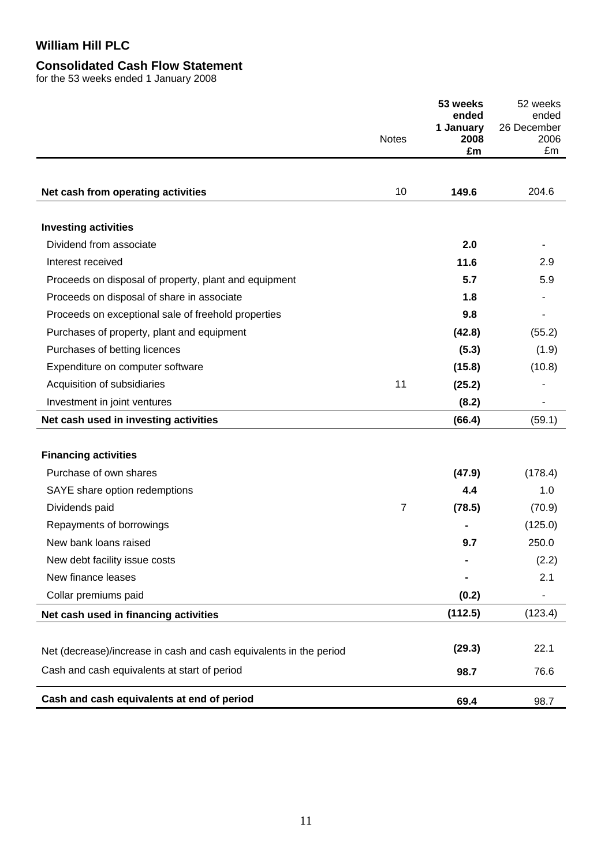# **Consolidated Cash Flow Statement**

for the 53 weeks ended 1 January 2008

|                                                                    |              | 53 weeks<br>ended<br>1 January | 52 weeks<br>ended<br>26 December |
|--------------------------------------------------------------------|--------------|--------------------------------|----------------------------------|
|                                                                    | <b>Notes</b> | 2008<br>£m                     | 2006<br>£m                       |
| Net cash from operating activities                                 | 10           | 149.6                          | 204.6                            |
|                                                                    |              |                                |                                  |
| <b>Investing activities</b>                                        |              |                                |                                  |
| Dividend from associate                                            |              | 2.0                            |                                  |
| Interest received                                                  |              | 11.6                           | 2.9                              |
| Proceeds on disposal of property, plant and equipment              |              | 5.7                            | 5.9                              |
| Proceeds on disposal of share in associate                         |              | 1.8                            |                                  |
| Proceeds on exceptional sale of freehold properties                |              | 9.8                            |                                  |
| Purchases of property, plant and equipment                         |              | (42.8)                         | (55.2)                           |
| Purchases of betting licences                                      |              | (5.3)                          | (1.9)                            |
| Expenditure on computer software                                   |              | (15.8)                         | (10.8)                           |
| Acquisition of subsidiaries                                        | 11           | (25.2)                         |                                  |
| Investment in joint ventures                                       |              | (8.2)                          |                                  |
| Net cash used in investing activities                              |              | (66.4)                         | (59.1)                           |
|                                                                    |              |                                |                                  |
| <b>Financing activities</b>                                        |              |                                |                                  |
| Purchase of own shares                                             |              | (47.9)                         | (178.4)                          |
| SAYE share option redemptions                                      |              | 4.4                            | 1.0                              |
| Dividends paid                                                     | 7            | (78.5)                         | (70.9)                           |
| Repayments of borrowings                                           |              |                                | (125.0)                          |
| New bank loans raised                                              |              | 9.7                            | 250.0                            |
| New debt facility issue costs                                      |              |                                | (2.2)                            |
| New finance leases                                                 |              |                                | 2.1                              |
| Collar premiums paid                                               |              | (0.2)                          |                                  |
| Net cash used in financing activities                              |              | (112.5)                        | (123.4)                          |
|                                                                    |              | (29.3)                         | 22.1                             |
| Net (decrease)/increase in cash and cash equivalents in the period |              |                                |                                  |
| Cash and cash equivalents at start of period                       |              | 98.7                           | 76.6                             |
| Cash and cash equivalents at end of period                         |              | 69.4                           | 98.7                             |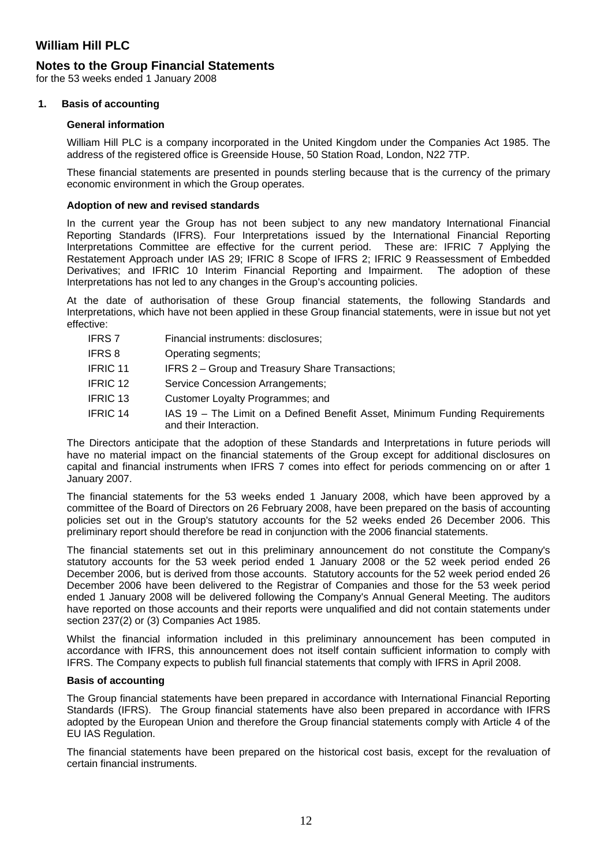### **Notes to the Group Financial Statements**

for the 53 weeks ended 1 January 2008

### **1. Basis of accounting**

#### **General information**

William Hill PLC is a company incorporated in the United Kingdom under the Companies Act 1985. The address of the registered office is Greenside House, 50 Station Road, London, N22 7TP.

These financial statements are presented in pounds sterling because that is the currency of the primary economic environment in which the Group operates.

#### **Adoption of new and revised standards**

In the current year the Group has not been subject to any new mandatory International Financial Reporting Standards (IFRS). Four Interpretations issued by the International Financial Reporting Interpretations Committee are effective for the current period. These are: IFRIC 7 Applying the Restatement Approach under IAS 29; IFRIC 8 Scope of IFRS 2; IFRIC 9 Reassessment of Embedded Derivatives; and IFRIC 10 Interim Financial Reporting and Impairment. The adoption of these Interpretations has not led to any changes in the Group's accounting policies.

At the date of authorisation of these Group financial statements, the following Standards and Interpretations, which have not been applied in these Group financial statements, were in issue but not yet effective:

- IFRS 7 Financial instruments: disclosures;
- IFRS 8 Operating segments;
- IFRIC 11 IFRS 2 Group and Treasury Share Transactions;
- IFRIC 12 Service Concession Arrangements;
- IFRIC 13 Customer Loyalty Programmes; and
- IFRIC 14 IAS 19 The Limit on a Defined Benefit Asset, Minimum Funding Requirements and their Interaction.

The Directors anticipate that the adoption of these Standards and Interpretations in future periods will have no material impact on the financial statements of the Group except for additional disclosures on capital and financial instruments when IFRS 7 comes into effect for periods commencing on or after 1 January 2007.

The financial statements for the 53 weeks ended 1 January 2008, which have been approved by a committee of the Board of Directors on 26 February 2008, have been prepared on the basis of accounting policies set out in the Group's statutory accounts for the 52 weeks ended 26 December 2006. This preliminary report should therefore be read in conjunction with the 2006 financial statements.

The financial statements set out in this preliminary announcement do not constitute the Company's statutory accounts for the 53 week period ended 1 January 2008 or the 52 week period ended 26 December 2006, but is derived from those accounts. Statutory accounts for the 52 week period ended 26 December 2006 have been delivered to the Registrar of Companies and those for the 53 week period ended 1 January 2008 will be delivered following the Company's Annual General Meeting. The auditors have reported on those accounts and their reports were unqualified and did not contain statements under section 237(2) or (3) Companies Act 1985.

Whilst the financial information included in this preliminary announcement has been computed in accordance with IFRS, this announcement does not itself contain sufficient information to comply with IFRS. The Company expects to publish full financial statements that comply with IFRS in April 2008.

### **Basis of accounting**

The Group financial statements have been prepared in accordance with International Financial Reporting Standards (IFRS). The Group financial statements have also been prepared in accordance with IFRS adopted by the European Union and therefore the Group financial statements comply with Article 4 of the EU IAS Regulation.

The financial statements have been prepared on the historical cost basis, except for the revaluation of certain financial instruments.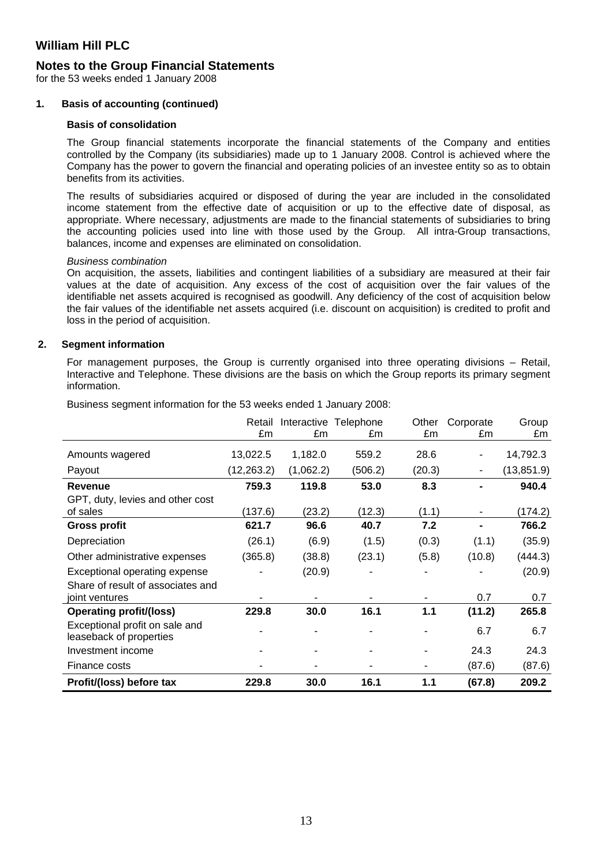### **Notes to the Group Financial Statements**

for the 53 weeks ended 1 January 2008

#### **1. Basis of accounting (continued)**

#### **Basis of consolidation**

The Group financial statements incorporate the financial statements of the Company and entities controlled by the Company (its subsidiaries) made up to 1 January 2008. Control is achieved where the Company has the power to govern the financial and operating policies of an investee entity so as to obtain benefits from its activities.

The results of subsidiaries acquired or disposed of during the year are included in the consolidated income statement from the effective date of acquisition or up to the effective date of disposal, as appropriate. Where necessary, adjustments are made to the financial statements of subsidiaries to bring the accounting policies used into line with those used by the Group. All intra-Group transactions, balances, income and expenses are eliminated on consolidation.

#### *Business combination*

On acquisition, the assets, liabilities and contingent liabilities of a subsidiary are measured at their fair values at the date of acquisition. Any excess of the cost of acquisition over the fair values of the identifiable net assets acquired is recognised as goodwill. Any deficiency of the cost of acquisition below the fair values of the identifiable net assets acquired (i.e. discount on acquisition) is credited to profit and loss in the period of acquisition.

#### **2. Segment information**

For management purposes, the Group is currently organised into three operating divisions – Retail, Interactive and Telephone. These divisions are the basis on which the Group reports its primary segment information.

|                                                           | Retail      |           | Interactive Telephone | Other  | Corporate | Group       |
|-----------------------------------------------------------|-------------|-----------|-----------------------|--------|-----------|-------------|
|                                                           | £m          | £m        | £m                    | £m     | £m        | £m          |
| Amounts wagered                                           | 13,022.5    | 1,182.0   | 559.2                 | 28.6   |           | 14,792.3    |
| Payout                                                    | (12, 263.2) | (1,062.2) | (506.2)               | (20.3) |           | (13, 851.9) |
| <b>Revenue</b>                                            | 759.3       | 119.8     | 53.0                  | 8.3    |           | 940.4       |
| GPT, duty, levies and other cost                          |             |           |                       |        |           |             |
| of sales                                                  | (137.6)     | (23.2)    | (12.3)                | (1.1)  |           | (174.2)     |
| <b>Gross profit</b>                                       | 621.7       | 96.6      | 40.7                  | 7.2    |           | 766.2       |
| Depreciation                                              | (26.1)      | (6.9)     | (1.5)                 | (0.3)  | (1.1)     | (35.9)      |
| Other administrative expenses                             | (365.8)     | (38.8)    | (23.1)                | (5.8)  | (10.8)    | (444.3)     |
| Exceptional operating expense                             |             | (20.9)    |                       |        |           | (20.9)      |
| Share of result of associates and<br>joint ventures       |             |           |                       |        | 0.7       | 0.7         |
| <b>Operating profit/(loss)</b>                            | 229.8       | 30.0      | 16.1                  | 1.1    | (11.2)    | 265.8       |
| Exceptional profit on sale and<br>leaseback of properties |             |           |                       |        | 6.7       | 6.7         |
| Investment income                                         |             |           |                       |        | 24.3      | 24.3        |
| Finance costs                                             |             |           |                       | ۰      | (87.6)    | (87.6)      |
| Profit/(loss) before tax                                  | 229.8       | 30.0      | 16.1                  | 1.1    | (67.8)    | 209.2       |

Business segment information for the 53 weeks ended 1 January 2008: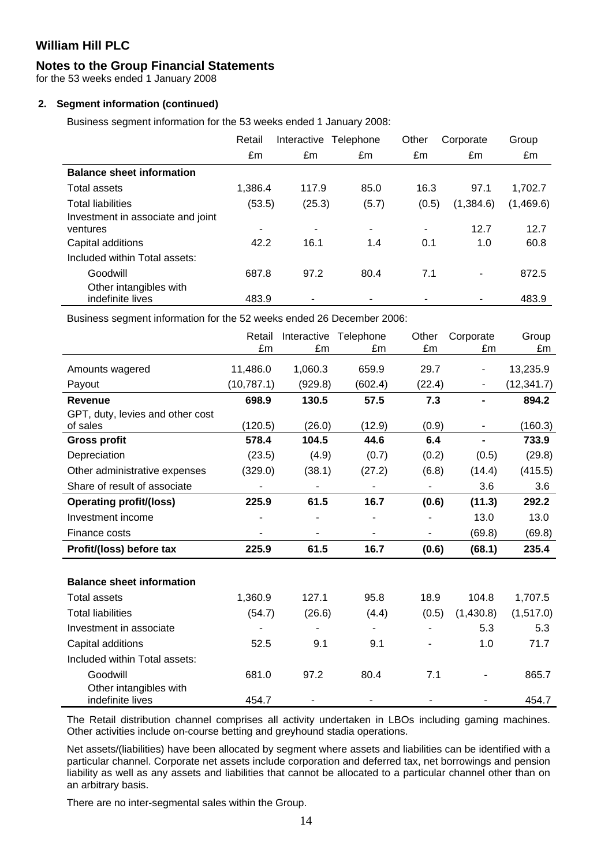### **Notes to the Group Financial Statements**

for the 53 weeks ended 1 January 2008

### **2. Segment information (continued)**

Business segment information for the 53 weeks ended 1 January 2008:

|                                               | Retail  | Interactive | Telephone | Other | Corporate | Group     |
|-----------------------------------------------|---------|-------------|-----------|-------|-----------|-----------|
|                                               | £m      | £m          | £m        | £m    | £m        | £m        |
| <b>Balance sheet information</b>              |         |             |           |       |           |           |
| Total assets                                  | 1,386.4 | 117.9       | 85.0      | 16.3  | 97.1      | 1,702.7   |
| <b>Total liabilities</b>                      | (53.5)  | (25.3)      | (5.7)     | (0.5) | (1,384.6) | (1,469.6) |
| Investment in associate and joint<br>ventures | ٠       | ۰           | ۰         | ۰     | 12.7      | 12.7      |
| Capital additions                             | 42.2    | 16.1        | 1.4       | 0.1   | 1.0       | 60.8      |
| Included within Total assets:                 |         |             |           |       |           |           |
| Goodwill                                      | 687.8   | 97.2        | 80.4      | 7.1   |           | 872.5     |
| Other intangibles with<br>indefinite lives    | 483.9   |             |           | ۰     |           | 483.9     |

Business segment information for the 52 weeks ended 26 December 2006:

|                                            | Retail<br>£m | £m                       | Interactive Telephone<br>£m | Other<br>£m              | Corporate<br>£m | Group<br>£m |
|--------------------------------------------|--------------|--------------------------|-----------------------------|--------------------------|-----------------|-------------|
|                                            |              |                          |                             |                          |                 |             |
| Amounts wagered                            | 11,486.0     | 1,060.3                  | 659.9                       | 29.7                     |                 | 13,235.9    |
| Payout                                     | (10,787.1)   | (929.8)                  | (602.4)                     | (22.4)                   | $\blacksquare$  | (12, 341.7) |
| Revenue                                    | 698.9        | 130.5                    | 57.5                        | 7.3                      |                 | 894.2       |
| GPT, duty, levies and other cost           |              |                          |                             |                          |                 |             |
| of sales                                   | (120.5)      | (26.0)                   | (12.9)                      | (0.9)                    |                 | (160.3)     |
| <b>Gross profit</b>                        | 578.4        | 104.5                    | 44.6                        | 6.4                      |                 | 733.9       |
| Depreciation                               | (23.5)       | (4.9)                    | (0.7)                       | (0.2)                    | (0.5)           | (29.8)      |
| Other administrative expenses              | (329.0)      | (38.1)                   | (27.2)                      | (6.8)                    | (14.4)          | (415.5)     |
| Share of result of associate               | ä,           | $\overline{\phantom{a}}$ | ٠                           | $\overline{\phantom{a}}$ | 3.6             | 3.6         |
| <b>Operating profit/(loss)</b>             | 225.9        | 61.5                     | 16.7                        | (0.6)                    | (11.3)          | 292.2       |
| Investment income                          |              |                          |                             |                          | 13.0            | 13.0        |
| Finance costs                              |              |                          | $\blacksquare$              |                          | (69.8)          | (69.8)      |
| Profit/(loss) before tax                   | 225.9        | 61.5                     | 16.7                        | (0.6)                    | (68.1)          | 235.4       |
|                                            |              |                          |                             |                          |                 |             |
| <b>Balance sheet information</b>           |              |                          |                             |                          |                 |             |
| <b>Total assets</b>                        | 1,360.9      | 127.1                    | 95.8                        | 18.9                     | 104.8           | 1,707.5     |
| <b>Total liabilities</b>                   | (54.7)       | (26.6)                   | (4.4)                       | (0.5)                    | (1,430.8)       | (1, 517.0)  |
| Investment in associate                    |              |                          | $\blacksquare$              |                          | 5.3             | 5.3         |
| Capital additions                          | 52.5         | 9.1                      | 9.1                         |                          | 1.0             | 71.7        |
| Included within Total assets:              |              |                          |                             |                          |                 |             |
| Goodwill                                   | 681.0        | 97.2                     | 80.4                        | 7.1                      |                 | 865.7       |
| Other intangibles with<br>indefinite lives | 454.7        |                          |                             |                          |                 | 454.7       |

The Retail distribution channel comprises all activity undertaken in LBOs including gaming machines. Other activities include on-course betting and greyhound stadia operations.

Net assets/(liabilities) have been allocated by segment where assets and liabilities can be identified with a particular channel. Corporate net assets include corporation and deferred tax, net borrowings and pension liability as well as any assets and liabilities that cannot be allocated to a particular channel other than on an arbitrary basis.

There are no inter-segmental sales within the Group.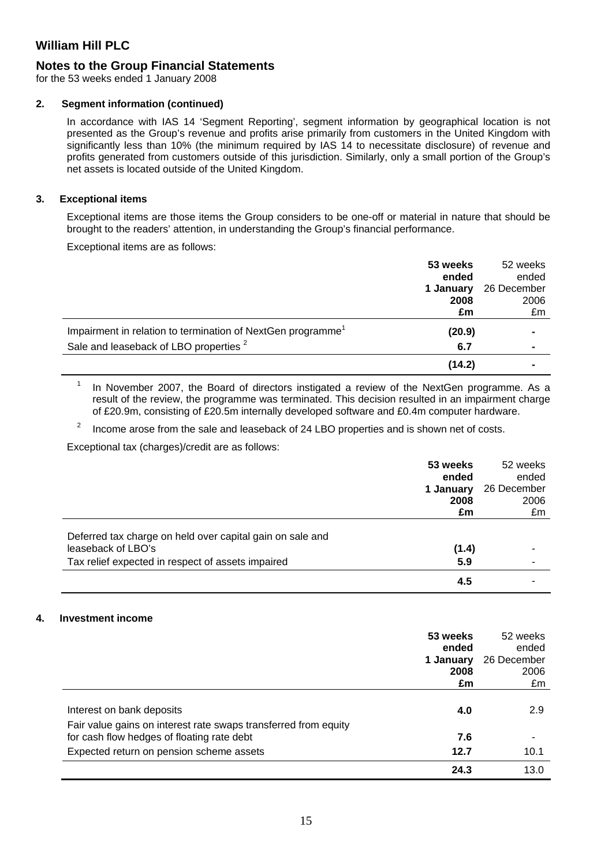# **Notes to the Group Financial Statements**

for the 53 weeks ended 1 January 2008

### **2. Segment information (continued)**

In accordance with IAS 14 'Segment Reporting', segment information by geographical location is not presented as the Group's revenue and profits arise primarily from customers in the United Kingdom with significantly less than 10% (the minimum required by IAS 14 to necessitate disclosure) of revenue and profits generated from customers outside of this jurisdiction. Similarly, only a small portion of the Group's net assets is located outside of the United Kingdom.

### **3. Exceptional items**

Exceptional items are those items the Group considers to be one-off or material in nature that should be brought to the readers' attention, in understanding the Group's financial performance.

Exceptional items are as follows:

|                                                                         | 53 weeks<br>ended | 52 weeks<br>ended |
|-------------------------------------------------------------------------|-------------------|-------------------|
|                                                                         | 1 January         | 26 December       |
|                                                                         | 2008              | 2006              |
|                                                                         | £m                | £m                |
| Impairment in relation to termination of NextGen programme <sup>1</sup> | (20.9)            |                   |
| Sale and leaseback of LBO properties <sup>2</sup>                       | 6.7               |                   |
|                                                                         | (14.2)            |                   |

1 In November 2007, the Board of directors instigated a review of the NextGen programme. As a result of the review, the programme was terminated. This decision resulted in an impairment charge of £20.9m, consisting of £20.5m internally developed software and £0.4m computer hardware.

2 Income arose from the sale and leaseback of 24 LBO properties and is shown net of costs.

Exceptional tax (charges)/credit are as follows:

|                                                                                 | 53 weeks  | 52 weeks    |
|---------------------------------------------------------------------------------|-----------|-------------|
|                                                                                 | ended     | ended       |
|                                                                                 | 1 January | 26 December |
|                                                                                 | 2008      | 2006        |
|                                                                                 | £m        | £m          |
| Deferred tax charge on held over capital gain on sale and<br>leaseback of LBO's | (1.4)     |             |
| Tax relief expected in respect of assets impaired                               | 5.9       |             |
|                                                                                 | 4.5       |             |

### **4. Investment income**

|                                                                                                               | 53 weeks<br>ended<br>1 January<br>2008<br>£m | 52 weeks<br>ended<br>26 December<br>2006<br>£m |
|---------------------------------------------------------------------------------------------------------------|----------------------------------------------|------------------------------------------------|
| Interest on bank deposits                                                                                     | 4.0                                          | 2.9                                            |
| Fair value gains on interest rate swaps transferred from equity<br>for cash flow hedges of floating rate debt | 7.6                                          |                                                |
| Expected return on pension scheme assets                                                                      | 12.7                                         | 10.1                                           |
|                                                                                                               | 24.3                                         | 13.0                                           |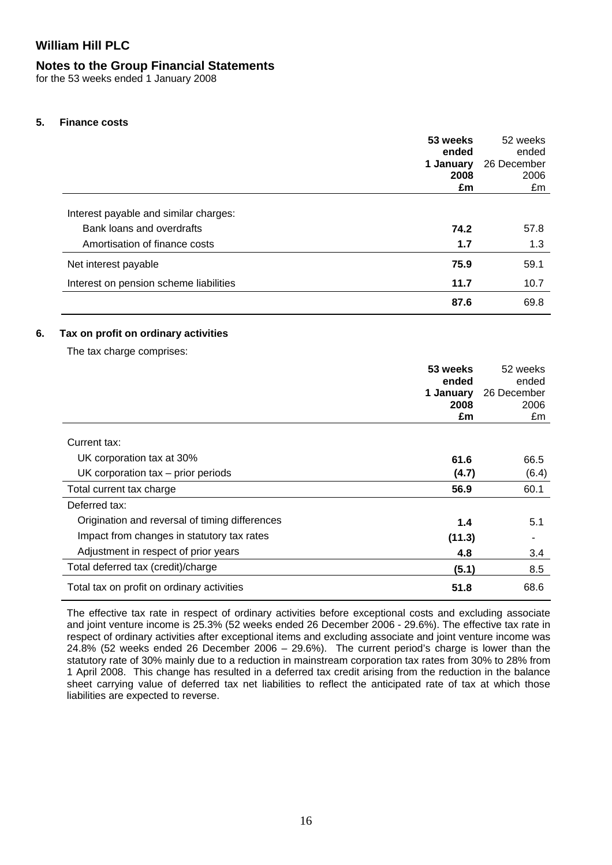### **Notes to the Group Financial Statements**

for the 53 weeks ended 1 January 2008

### **5. Finance costs**

|                                                                   | 53 weeks<br>ended<br>1 January<br>2008<br>£m | 52 weeks<br>ended<br>26 December<br>2006<br>£m |
|-------------------------------------------------------------------|----------------------------------------------|------------------------------------------------|
| Interest payable and similar charges:                             |                                              |                                                |
| Bank loans and overdrafts                                         | 74.2                                         | 57.8                                           |
| Amortisation of finance costs                                     | 1.7                                          | 1.3                                            |
| Net interest payable                                              | 75.9                                         | 59.1                                           |
| Interest on pension scheme liabilities                            | 11.7                                         | 10.7                                           |
|                                                                   | 87.6                                         | 69.8                                           |
| Tax on profit on ordinary activities<br>The tax charge comprises: |                                              |                                                |
|                                                                   | 53 weeks                                     | 52 weeks                                       |
|                                                                   | ended                                        | ended                                          |
|                                                                   | 1 January                                    | 26 December                                    |
|                                                                   | 2008                                         | 2006                                           |

| Current tax:                                   |        |       |
|------------------------------------------------|--------|-------|
| UK corporation tax at 30%                      | 61.6   | 66.5  |
| UK corporation $tax - prior$ periods           | (4.7)  | (6.4) |
| Total current tax charge                       | 56.9   | 60.1  |
| Deferred tax:                                  |        |       |
| Origination and reversal of timing differences | 1.4    | 5.1   |
| Impact from changes in statutory tax rates     | (11.3) |       |
| Adjustment in respect of prior years           | 4.8    | 3.4   |
| Total deferred tax (credit)/charge             | (5.1)  | 8.5   |
| Total tax on profit on ordinary activities     | 51.8   | 68.6  |

The effective tax rate in respect of ordinary activities before exceptional costs and excluding associate and joint venture income is 25.3% (52 weeks ended 26 December 2006 - 29.6%). The effective tax rate in respect of ordinary activities after exceptional items and excluding associate and joint venture income was 24.8% (52 weeks ended 26 December 2006 – 29.6%). The current period's charge is lower than the statutory rate of 30% mainly due to a reduction in mainstream corporation tax rates from 30% to 28% from 1 April 2008. This change has resulted in a deferred tax credit arising from the reduction in the balance sheet carrying value of deferred tax net liabilities to reflect the anticipated rate of tax at which those liabilities are expected to reverse.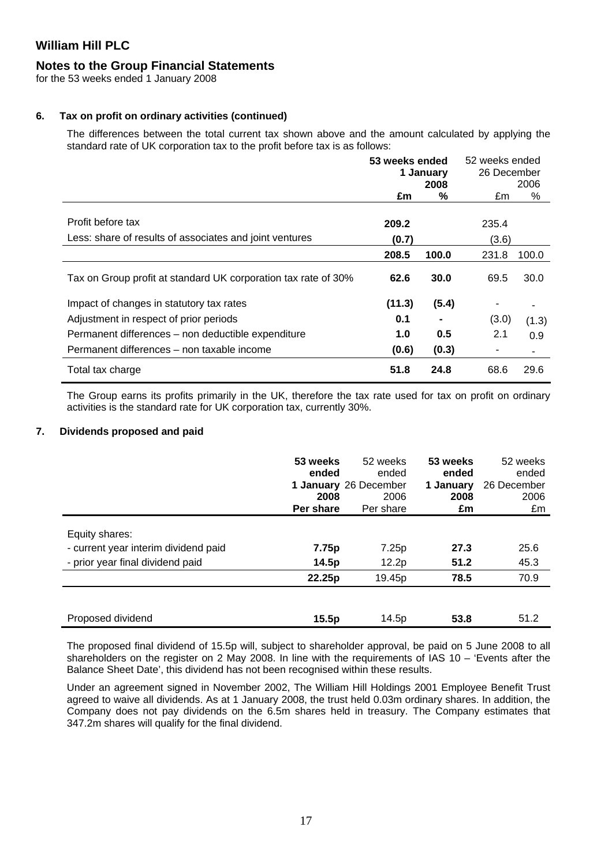### **Notes to the Group Financial Statements**

for the 53 weeks ended 1 January 2008

### **6. Tax on profit on ordinary activities (continued)**

The differences between the total current tax shown above and the amount calculated by applying the standard rate of UK corporation tax to the profit before tax is as follows:

|                                                                | 53 weeks ended<br>1 January |       | 52 weeks ended<br>26 December |           |
|----------------------------------------------------------------|-----------------------------|-------|-------------------------------|-----------|
|                                                                | 2008<br>%<br>£m             |       | £m                            | 2006<br>% |
|                                                                |                             |       |                               |           |
| Profit before tax                                              | 209.2                       |       | 235.4                         |           |
| Less: share of results of associates and joint ventures        | (0.7)                       | (3.6) |                               |           |
|                                                                | 208.5                       | 100.0 | 231.8                         | 100.0     |
| Tax on Group profit at standard UK corporation tax rate of 30% | 62.6                        | 30.0  | 69.5                          | 30.0      |
| Impact of changes in statutory tax rates                       | (11.3)                      | (5.4) | ٠                             |           |
| Adjustment in respect of prior periods                         | 0.1                         |       | (3.0)                         | (1.3)     |
| Permanent differences - non deductible expenditure             | 1.0                         | 0.5   | 2.1                           | 0.9       |
| Permanent differences – non taxable income                     | (0.6)                       | (0.3) | ٠                             |           |
| Total tax charge                                               | 51.8                        | 24.8  | 68.6                          | 29.6      |

The Group earns its profits primarily in the UK, therefore the tax rate used for tax on profit on ordinary activities is the standard rate for UK corporation tax, currently 30%.

### **7. Dividends proposed and paid**

|                                      | 53 weeks<br>ended<br>2008<br>Per share | 52 weeks<br>ended<br>1 January 26 December<br>2006<br>Per share | 53 weeks<br>ended<br>1 January<br>2008<br>£m | 52 weeks<br>ended<br>26 December<br>2006<br>£m |
|--------------------------------------|----------------------------------------|-----------------------------------------------------------------|----------------------------------------------|------------------------------------------------|
| Equity shares:                       |                                        |                                                                 |                                              |                                                |
|                                      |                                        |                                                                 | 27.3                                         | 25.6                                           |
| - current year interim dividend paid | 7.75p                                  | 7.25p                                                           |                                              |                                                |
| - prior year final dividend paid     | 14.5p                                  | 12.2p                                                           | 51.2                                         | 45.3                                           |
|                                      | 22.25p                                 | 19.45p                                                          | 78.5                                         | 70.9                                           |
| Proposed dividend                    | 15.5p                                  | 14.5 <sub>p</sub>                                               | 53.8                                         | 51.2                                           |

The proposed final dividend of 15.5p will, subject to shareholder approval, be paid on 5 June 2008 to all shareholders on the register on 2 May 2008. In line with the requirements of IAS 10 – 'Events after the Balance Sheet Date', this dividend has not been recognised within these results.

Under an agreement signed in November 2002, The William Hill Holdings 2001 Employee Benefit Trust agreed to waive all dividends. As at 1 January 2008, the trust held 0.03m ordinary shares. In addition, the Company does not pay dividends on the 6.5m shares held in treasury. The Company estimates that 347.2m shares will qualify for the final dividend.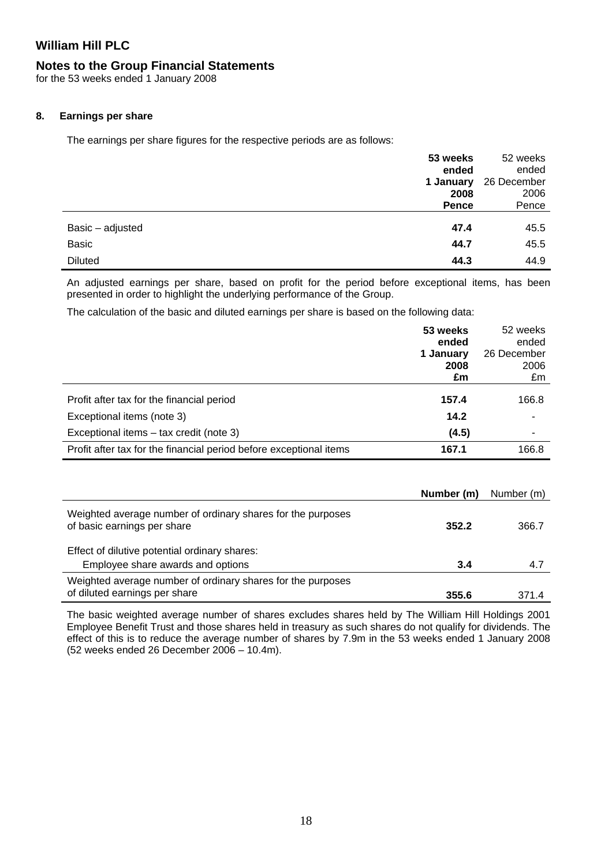### **Notes to the Group Financial Statements**

for the 53 weeks ended 1 January 2008

### **8. Earnings per share**

The earnings per share figures for the respective periods are as follows:

|                  | 53 weeks  | 52 weeks    |
|------------------|-----------|-------------|
|                  | ended     | ended       |
|                  | 1 January | 26 December |
|                  | 2008      | 2006        |
|                  | Pence     | Pence       |
|                  |           |             |
| Basic - adjusted | 47.4      | 45.5        |
| Basic            | 44.7      | 45.5        |
| <b>Diluted</b>   | 44.3      | 44.9        |

An adjusted earnings per share, based on profit for the period before exceptional items, has been presented in order to highlight the underlying performance of the Group.

The calculation of the basic and diluted earnings per share is based on the following data:

|                                                                    | 53 weeks<br>ended<br>1 January<br>2008<br>£m | 52 weeks<br>ended<br>26 December<br>2006<br>£m |
|--------------------------------------------------------------------|----------------------------------------------|------------------------------------------------|
| Profit after tax for the financial period                          | 157.4                                        | 166.8                                          |
| Exceptional items (note 3)                                         | 14.2                                         |                                                |
| Exceptional items - tax credit (note 3)                            | (4.5)                                        |                                                |
| Profit after tax for the financial period before exceptional items | 167.1                                        | 166.8                                          |

|                                                                                              | Number (m) | Number (m) |
|----------------------------------------------------------------------------------------------|------------|------------|
| Weighted average number of ordinary shares for the purposes<br>of basic earnings per share   | 352.2      | 366.7      |
| Effect of dilutive potential ordinary shares:                                                |            |            |
| Employee share awards and options                                                            | 3.4        | 4.7        |
| Weighted average number of ordinary shares for the purposes<br>of diluted earnings per share | 355.6      | 3714       |

The basic weighted average number of shares excludes shares held by The William Hill Holdings 2001 Employee Benefit Trust and those shares held in treasury as such shares do not qualify for dividends. The effect of this is to reduce the average number of shares by 7.9m in the 53 weeks ended 1 January 2008 (52 weeks ended 26 December 2006 – 10.4m).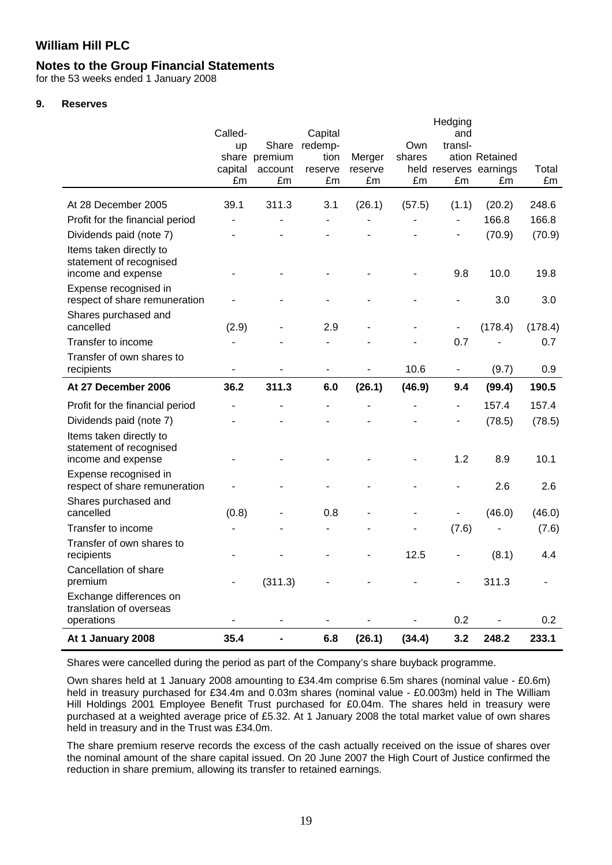### **Notes to the Group Financial Statements**

for the 53 weeks ended 1 January 2008

#### **9. Reserves**

|                                                                                                                                    | Called-<br><b>up</b><br>capital<br>£m | Share<br>share premium<br>account<br>£m | Capital<br>redemp-<br>tion<br>reserve<br>£m | Merger<br>reserve<br>£m | Own<br>shares<br>£m | Hedging<br>and<br>trans-<br>£m | ation Retained<br>held reserves earnings<br>£m | Total<br>£m |
|------------------------------------------------------------------------------------------------------------------------------------|---------------------------------------|-----------------------------------------|---------------------------------------------|-------------------------|---------------------|--------------------------------|------------------------------------------------|-------------|
| At 28 December 2005                                                                                                                | 39.1                                  | 311.3                                   | 3.1                                         | (26.1)                  | (57.5)              | (1.1)                          | (20.2)                                         | 248.6       |
| Profit for the financial period                                                                                                    | ä,                                    |                                         | $\blacksquare$                              |                         |                     | $\overline{a}$                 | 166.8                                          | 166.8       |
| Dividends paid (note 7)                                                                                                            |                                       |                                         |                                             |                         |                     | $\overline{\phantom{0}}$       | (70.9)                                         | (70.9)      |
| Items taken directly to<br>statement of recognised<br>income and expense<br>Expense recognised in<br>respect of share remuneration |                                       |                                         |                                             |                         |                     | 9.8                            | 10.0<br>3.0                                    | 19.8<br>3.0 |
| Shares purchased and<br>cancelled                                                                                                  | (2.9)                                 |                                         | 2.9                                         |                         |                     | $\blacksquare$                 | (178.4)                                        | (178.4)     |
| Transfer to income                                                                                                                 |                                       |                                         |                                             |                         |                     | 0.7                            |                                                | 0.7         |
| Transfer of own shares to                                                                                                          |                                       |                                         |                                             |                         |                     |                                |                                                |             |
| recipients                                                                                                                         | $\qquad \qquad \blacksquare$          |                                         | $\blacksquare$                              |                         | 10.6                | $\overline{\phantom{a}}$       | (9.7)                                          | 0.9         |
| At 27 December 2006                                                                                                                | 36.2                                  | 311.3                                   | 6.0                                         | (26.1)                  | (46.9)              | 9.4                            | (99.4)                                         | 190.5       |
| Profit for the financial period                                                                                                    |                                       |                                         |                                             |                         |                     | $\overline{a}$                 | 157.4                                          | 157.4       |
| Dividends paid (note 7)                                                                                                            |                                       |                                         |                                             |                         |                     | $\overline{a}$                 | (78.5)                                         | (78.5)      |
| Items taken directly to<br>statement of recognised<br>income and expense                                                           |                                       |                                         |                                             |                         |                     | 1.2                            | 8.9                                            | 10.1        |
| Expense recognised in<br>respect of share remuneration                                                                             |                                       |                                         |                                             |                         |                     |                                | 2.6                                            | 2.6         |
| Shares purchased and<br>cancelled                                                                                                  | (0.8)                                 |                                         | 0.8                                         |                         |                     | $\overline{a}$                 | (46.0)                                         | (46.0)      |
| Transfer to income                                                                                                                 |                                       |                                         |                                             |                         |                     | (7.6)                          |                                                | (7.6)       |
| Transfer of own shares to<br>recipients                                                                                            |                                       |                                         |                                             |                         | 12.5                |                                | (8.1)                                          | 4.4         |
| Cancellation of share<br>premium                                                                                                   |                                       | (311.3)                                 |                                             |                         |                     |                                | 311.3                                          |             |
| Exchange differences on<br>translation of overseas<br>operations                                                                   |                                       |                                         |                                             |                         |                     | 0.2                            |                                                | 0.2         |
| At 1 January 2008                                                                                                                  | 35.4                                  | $\blacksquare$                          | 6.8                                         | (26.1)                  | (34.4)              | 3.2                            | 248.2                                          | 233.1       |

Shares were cancelled during the period as part of the Company's share buyback programme.

Own shares held at 1 January 2008 amounting to £34.4m comprise 6.5m shares (nominal value - £0.6m) held in treasury purchased for £34.4m and 0.03m shares (nominal value - £0.003m) held in The William Hill Holdings 2001 Employee Benefit Trust purchased for £0.04m. The shares held in treasury were purchased at a weighted average price of £5.32. At 1 January 2008 the total market value of own shares held in treasury and in the Trust was £34.0m.

The share premium reserve records the excess of the cash actually received on the issue of shares over the nominal amount of the share capital issued. On 20 June 2007 the High Court of Justice confirmed the reduction in share premium, allowing its transfer to retained earnings.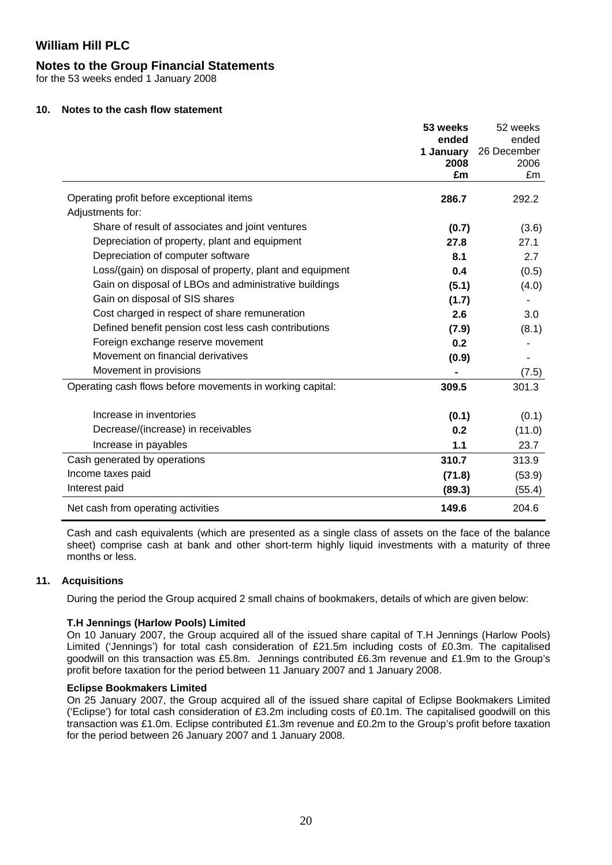### **Notes to the Group Financial Statements**

for the 53 weeks ended 1 January 2008

#### **10. Notes to the cash flow statement**

|                                                           | 53 weeks   | 52 weeks    |
|-----------------------------------------------------------|------------|-------------|
|                                                           | ended      | ended       |
|                                                           | 1 January  | 26 December |
|                                                           | 2008<br>£m | 2006<br>£m  |
|                                                           |            |             |
| Operating profit before exceptional items                 | 286.7      | 292.2       |
| Adjustments for:                                          |            |             |
| Share of result of associates and joint ventures          | (0.7)      | (3.6)       |
| Depreciation of property, plant and equipment             | 27.8       | 27.1        |
| Depreciation of computer software                         | 8.1        | 2.7         |
| Loss/(gain) on disposal of property, plant and equipment  | 0.4        | (0.5)       |
| Gain on disposal of LBOs and administrative buildings     | (5.1)      | (4.0)       |
| Gain on disposal of SIS shares                            | (1.7)      |             |
| Cost charged in respect of share remuneration             | 2.6        | 3.0         |
| Defined benefit pension cost less cash contributions      | (7.9)      | (8.1)       |
| Foreign exchange reserve movement                         | 0.2        |             |
| Movement on financial derivatives                         | (0.9)      |             |
| Movement in provisions                                    |            | (7.5)       |
| Operating cash flows before movements in working capital: | 309.5      | 301.3       |
|                                                           |            |             |
| Increase in inventories                                   | (0.1)      | (0.1)       |
| Decrease/(increase) in receivables                        | 0.2        | (11.0)      |
| Increase in payables                                      | 1.1        | 23.7        |
| Cash generated by operations                              | 310.7      | 313.9       |
| Income taxes paid                                         | (71.8)     | (53.9)      |
| Interest paid                                             | (89.3)     | (55.4)      |
| Net cash from operating activities                        | 149.6      | 204.6       |
|                                                           |            |             |

Cash and cash equivalents (which are presented as a single class of assets on the face of the balance sheet) comprise cash at bank and other short-term highly liquid investments with a maturity of three months or less.

### **11. Acquisitions**

During the period the Group acquired 2 small chains of bookmakers, details of which are given below:

### **T.H Jennings (Harlow Pools) Limited**

On 10 January 2007, the Group acquired all of the issued share capital of T.H Jennings (Harlow Pools) Limited ('Jennings') for total cash consideration of £21.5m including costs of £0.3m. The capitalised goodwill on this transaction was £5.8m. Jennings contributed £6.3m revenue and £1.9m to the Group's profit before taxation for the period between 11 January 2007 and 1 January 2008.

### **Eclipse Bookmakers Limited**

On 25 January 2007, the Group acquired all of the issued share capital of Eclipse Bookmakers Limited ('Eclipse') for total cash consideration of £3.2m including costs of £0.1m. The capitalised goodwill on this transaction was £1.0m. Eclipse contributed £1.3m revenue and £0.2m to the Group's profit before taxation for the period between 26 January 2007 and 1 January 2008.